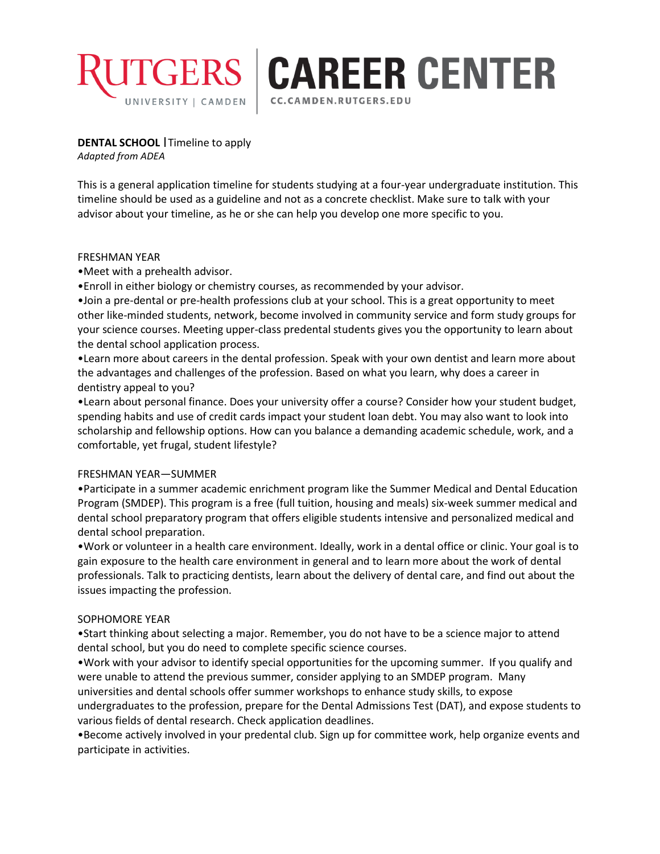

**GERS CAREER CENTER** 

CC.CAMDEN.RUTGERS.EDU

**DENTAL SCHOOL** Timeline to apply *Adapted from ADEA*

This is a general application timeline for students studying at a four-year undergraduate institution. This timeline should be used as a guideline and not as a concrete checklist. Make sure to talk with your advisor about your timeline, as he or she can help you develop one more specific to you.

#### FRESHMAN YEAR

•Meet with a prehealth advisor.

•Enroll in either biology or chemistry courses, as recommended by your advisor.

•Join a pre-dental or pre-health professions club at your school. This is a great opportunity to meet other like-minded students, network, become involved in community service and form study groups for your science courses. Meeting upper-class predental students gives you the opportunity to learn about the dental school application process.

•Learn more about careers in the dental profession. Speak with your own dentist and learn more about the advantages and challenges of the profession. Based on what you learn, why does a career in dentistry appeal to you?

•Learn about personal finance. Does your university offer a course? Consider how your student budget, spending habits and use of credit cards impact your student loan debt. You may also want to look into scholarship and fellowship options. How can you balance a demanding academic schedule, work, and a comfortable, yet frugal, student lifestyle?

#### FRESHMAN YEAR—SUMMER

•Participate in a summer academic enrichment program like the Summer Medical and Dental Education Program (SMDEP). This program is a free (full tuition, housing and meals) six-week summer medical and dental school preparatory program that offers eligible students intensive and personalized medical and dental school preparation.

•Work or volunteer in a health care environment. Ideally, work in a dental office or clinic. Your goal is to gain exposure to the health care environment in general and to learn more about the work of dental professionals. Talk to practicing dentists, learn about the delivery of dental care, and find out about the issues impacting the profession.

#### SOPHOMORE YEAR

•Start thinking about selecting a major. Remember, you do not have to be a science major to attend dental school, but you do need to complete specific science courses.

•Work with your advisor to identify special opportunities for the upcoming summer. If you qualify and were unable to attend the previous summer, consider applying to an SMDEP program. Many universities and dental schools offer summer workshops to enhance study skills, to expose undergraduates to the profession, prepare for the Dental Admissions Test (DAT), and expose students to various fields of dental research. Check application deadlines.

•Become actively involved in your predental club. Sign up for committee work, help organize events and participate in activities.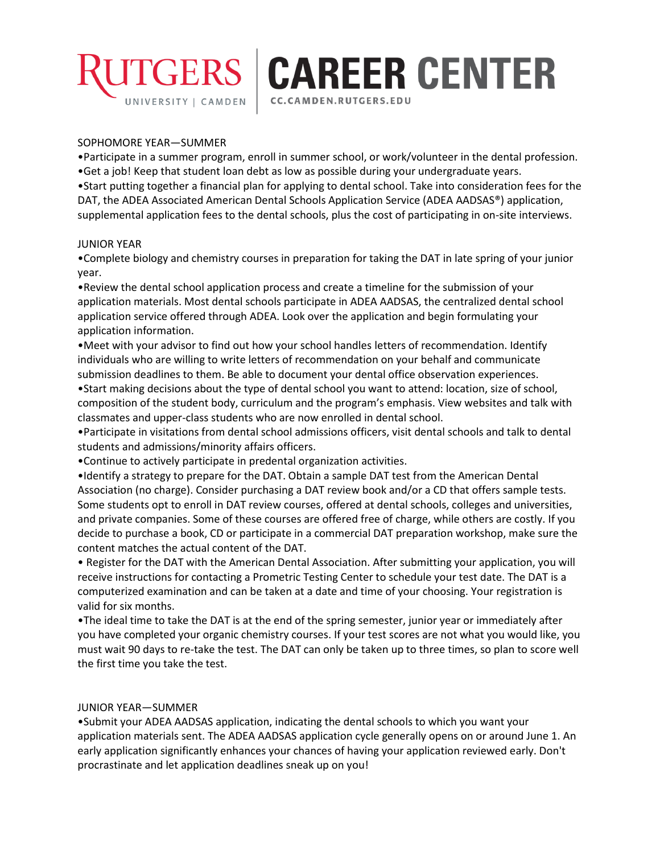

# **GERS CAREER CENTER**

CC.CAMDEN.RUTGERS.EDU

#### SOPHOMORE YEAR—SUMMER

•Participate in a summer program, enroll in summer school, or work/volunteer in the dental profession.

•Get a job! Keep that student loan debt as low as possible during your undergraduate years.

•Start putting together a financial plan for applying to dental school. Take into consideration fees for the DAT, the ADEA Associated American Dental Schools Application Service (ADEA AADSAS®) application, supplemental application fees to the dental schools, plus the cost of participating in on-site interviews.

#### JUNIOR YEAR

•Complete biology and chemistry courses in preparation for taking the DAT in late spring of your junior year.

•Review the dental school application process and create a timeline for the submission of your application materials. Most dental schools participate in ADEA AADSAS, the centralized dental school application service offered through ADEA. Look over the application and begin formulating your application information.

•Meet with your advisor to find out how your school handles letters of recommendation. Identify individuals who are willing to write letters of recommendation on your behalf and communicate submission deadlines to them. Be able to document your dental office observation experiences. •Start making decisions about the type of dental school you want to attend: location, size of school,

composition of the student body, curriculum and the program's emphasis. View websites and talk with classmates and upper-class students who are now enrolled in dental school.

•Participate in visitations from dental school admissions officers, visit dental schools and talk to dental students and admissions/minority affairs officers.

•Continue to actively participate in predental organization activities.

•Identify a strategy to prepare for the DAT. Obtain a sample DAT test from the American Dental Association (no charge). Consider purchasing a DAT review book and/or a CD that offers sample tests. Some students opt to enroll in DAT review courses, offered at dental schools, colleges and universities, and private companies. Some of these courses are offered free of charge, while others are costly. If you decide to purchase a book, CD or participate in a commercial DAT preparation workshop, make sure the content matches the actual content of the DAT.

• Register for the DAT with the American Dental Association. After submitting your application, you will receive instructions for contacting a Prometric Testing Center to schedule your test date. The DAT is a computerized examination and can be taken at a date and time of your choosing. Your registration is valid for six months.

•The ideal time to take the DAT is at the end of the spring semester, junior year or immediately after you have completed your organic chemistry courses. If your test scores are not what you would like, you must wait 90 days to re-take the test. The DAT can only be taken up to three times, so plan to score well the first time you take the test.

#### JUNIOR YEAR—SUMMER

•Submit your ADEA AADSAS application, indicating the dental schools to which you want your application materials sent. The ADEA AADSAS application cycle generally opens on or around June 1. An early application significantly enhances your chances of having your application reviewed early. Don't procrastinate and let application deadlines sneak up on you!